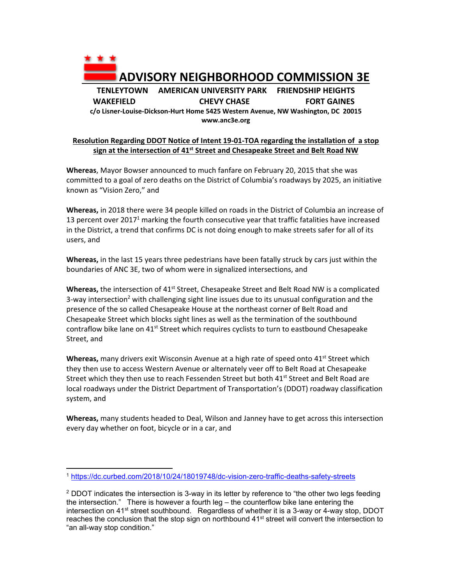

## **Resolution Regarding DDOT Notice of Intent 19‐01‐TOA regarding the installation of a stop**  sign at the intersection of 41<sup>st</sup> Street and Chesapeake Street and Belt Road NW

**Whereas**, Mayor Bowser announced to much fanfare on February 20, 2015 that she was committed to a goal of zero deaths on the District of Columbia's roadways by 2025, an initiative known as "Vision Zero," and

**Whereas,** in 2018 there were 34 people killed on roads in the District of Columbia an increase of 13 percent over 2017<sup>1</sup> marking the fourth consecutive year that traffic fatalities have increased in the District, a trend that confirms DC is not doing enough to make streets safer for all of its users, and

**Whereas,** in the last 15 years three pedestrians have been fatally struck by cars just within the boundaries of ANC 3E, two of whom were in signalized intersections, and

Whereas, the intersection of 41<sup>st</sup> Street, Chesapeake Street and Belt Road NW is a complicated 3-way intersection<sup>2</sup> with challenging sight line issues due to its unusual configuration and the presence of the so called Chesapeake House at the northeast corner of Belt Road and Chesapeake Street which blocks sight lines as well as the termination of the southbound contraflow bike lane on  $41^{st}$  Street which requires cyclists to turn to eastbound Chesapeake Street, and

**Whereas,** many drivers exit Wisconsin Avenue at a high rate of speed onto 41<sup>st</sup> Street which they then use to access Western Avenue or alternately veer off to Belt Road at Chesapeake Street which they then use to reach Fessenden Street but both  $41<sup>st</sup>$  Street and Belt Road are local roadways under the District Department of Transportation's (DDOT) roadway classification system, and

**Whereas,** many students headed to Deal, Wilson and Janney have to get across this intersection every day whether on foot, bicycle or in a car, and

 $\overline{a}$ 

<sup>1</sup> https://dc.curbed.com/2018/10/24/18019748/dc-vision-zero-traffic-deaths-safety-streets

 $2$  DDOT indicates the intersection is 3-way in its letter by reference to "the other two legs feeding the intersection." There is however a fourth leg – the counterflow bike lane entering the intersection on 41<sup>st</sup> street southbound. Regardless of whether it is a 3-way or 4-way stop, DDOT reaches the conclusion that the stop sign on northbound  $41<sup>st</sup>$  street will convert the intersection to "an all-way stop condition."